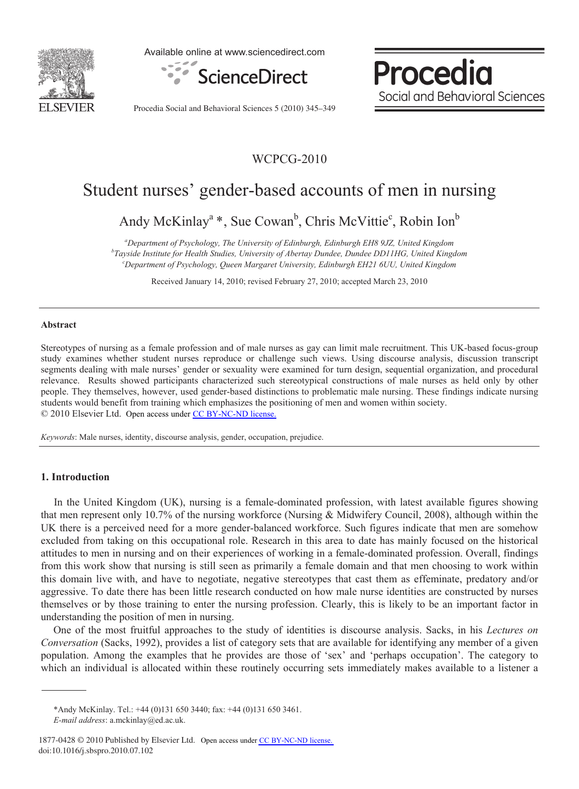

Available online at www.sciencedirect.com



**Procedia** Social and Behavioral Sciences

Procedia Social and Behavioral Sciences 5 (2010) 345–349

# WCPCG-2010

# Student nurses' gender-based accounts of men in nursing

Andy McKinlay<sup>a</sup> \*, Sue Cowan<sup>b</sup>, Chris McVittie<sup>c</sup>, Robin Ion<sup>b</sup>

*a Department of Psychology, The University of Edinburgh, Edinburgh EH8 9JZ, United Kingdom b Tayside Institute for Health Studies, University of Abertay Dundee, Dundee DD11HG, United Kingdom c Department of Psychology, Queen Margaret University, Edinburgh EH21 6UU, United Kingdom* 

Received January 14, 2010; revised February 27, 2010; accepted March 23, 2010

#### **Abstract**

Stereotypes of nursing as a female profession and of male nurses as gay can limit male recruitment. This UK-based focus-group study examines whether student nurses reproduce or challenge such views. Using discourse analysis, discussion transcript segments dealing with male nurses' gender or sexuality were examined for turn design, sequential organization, and procedural relevance. Results showed participants characterized such stereotypical constructions of male nurses as held only by other people. They themselves, however, used gender-based distinctions to problematic male nursing. These findings indicate nursing students would benefit from training which emphasizes the positioning of men and women within society. © 2010 Elsevier Ltd. Open access under [CC BY-NC-ND license.](http://creativecommons.org/licenses/by-nc-nd/3.0/)

*Keywords*: Male nurses, identity, discourse analysis, gender, occupation, prejudice.

# **1. Introduction**

In the United Kingdom (UK), nursing is a female-dominated profession, with latest available figures showing that men represent only 10.7% of the nursing workforce (Nursing & Midwifery Council, 2008), although within the UK there is a perceived need for a more gender-balanced workforce. Such figures indicate that men are somehow excluded from taking on this occupational role. Research in this area to date has mainly focused on the historical attitudes to men in nursing and on their experiences of working in a female-dominated profession. Overall, findings from this work show that nursing is still seen as primarily a female domain and that men choosing to work within this domain live with, and have to negotiate, negative stereotypes that cast them as effeminate, predatory and/or aggressive. To date there has been little research conducted on how male nurse identities are constructed by nurses themselves or by those training to enter the nursing profession. Clearly, this is likely to be an important factor in understanding the position of men in nursing.

One of the most fruitful approaches to the study of identities is discourse analysis. Sacks, in his *Lectures on Conversation* (Sacks, 1992), provides a list of category sets that are available for identifying any member of a given population. Among the examples that he provides are those of 'sex' and 'perhaps occupation'. The category to which an individual is allocated within these routinely occurring sets immediately makes available to a listener a

<sup>\*</sup>Andy McKinlay. Tel.: +44 (0)131 650 3440; fax: +44 (0)131 650 3461.

*E-mail address*: a.mckinlay@ed.ac.uk.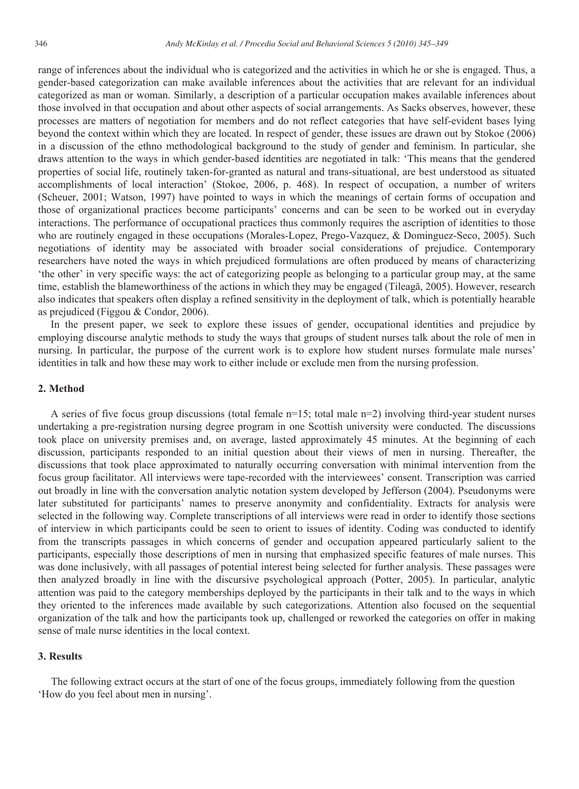range of inferences about the individual who is categorized and the activities in which he or she is engaged. Thus, a gender-based categorization can make available inferences about the activities that are relevant for an individual categorized as man or woman. Similarly, a description of a particular occupation makes available inferences about those involved in that occupation and about other aspects of social arrangements. As Sacks observes, however, these processes are matters of negotiation for members and do not reflect categories that have self-evident bases lying beyond the context within which they are located. In respect of gender, these issues are drawn out by Stokoe (2006) in a discussion of the ethno methodological background to the study of gender and feminism. In particular, she draws attention to the ways in which gender-based identities are negotiated in talk: 'This means that the gendered properties of social life, routinely taken-for-granted as natural and trans-situational, are best understood as situated accomplishments of local interaction' (Stokoe, 2006, p. 468). In respect of occupation, a number of writers (Scheuer, 2001; Watson, 1997) have pointed to ways in which the meanings of certain forms of occupation and those of organizational practices become participants' concerns and can be seen to be worked out in everyday interactions. The performance of occupational practices thus commonly requires the ascription of identities to those who are routinely engaged in these occupations (Morales-Lopez, Prego-Vazquez, & Dominguez-Seco, 2005). Such negotiations of identity may be associated with broader social considerations of prejudice. Contemporary researchers have noted the ways in which prejudiced formulations are often produced by means of characterizing 'the other' in very specific ways: the act of categorizing people as belonging to a particular group may, at the same time, establish the blameworthiness of the actions in which they may be engaged (Tileagă, 2005). However, research also indicates that speakers often display a refined sensitivity in the deployment of talk, which is potentially hearable as prejudiced (Figgou & Condor, 2006).

In the present paper, we seek to explore these issues of gender, occupational identities and prejudice by employing discourse analytic methods to study the ways that groups of student nurses talk about the role of men in nursing. In particular, the purpose of the current work is to explore how student nurses formulate male nurses' identities in talk and how these may work to either include or exclude men from the nursing profession.

#### **2. Method**

A series of five focus group discussions (total female n=15; total male n=2) involving third-year student nurses undertaking a pre-registration nursing degree program in one Scottish university were conducted. The discussions took place on university premises and, on average, lasted approximately 45 minutes. At the beginning of each discussion, participants responded to an initial question about their views of men in nursing. Thereafter, the discussions that took place approximated to naturally occurring conversation with minimal intervention from the focus group facilitator. All interviews were tape-recorded with the interviewees' consent. Transcription was carried out broadly in line with the conversation analytic notation system developed by Jefferson (2004). Pseudonyms were later substituted for participants' names to preserve anonymity and confidentiality. Extracts for analysis were selected in the following way. Complete transcriptions of all interviews were read in order to identify those sections of interview in which participants could be seen to orient to issues of identity. Coding was conducted to identify from the transcripts passages in which concerns of gender and occupation appeared particularly salient to the participants, especially those descriptions of men in nursing that emphasized specific features of male nurses. This was done inclusively, with all passages of potential interest being selected for further analysis. These passages were then analyzed broadly in line with the discursive psychological approach (Potter, 2005). In particular, analytic attention was paid to the category memberships deployed by the participants in their talk and to the ways in which they oriented to the inferences made available by such categorizations. Attention also focused on the sequential organization of the talk and how the participants took up, challenged or reworked the categories on offer in making sense of male nurse identities in the local context.

## **3. Results**

The following extract occurs at the start of one of the focus groups, immediately following from the question 'How do you feel about men in nursing'.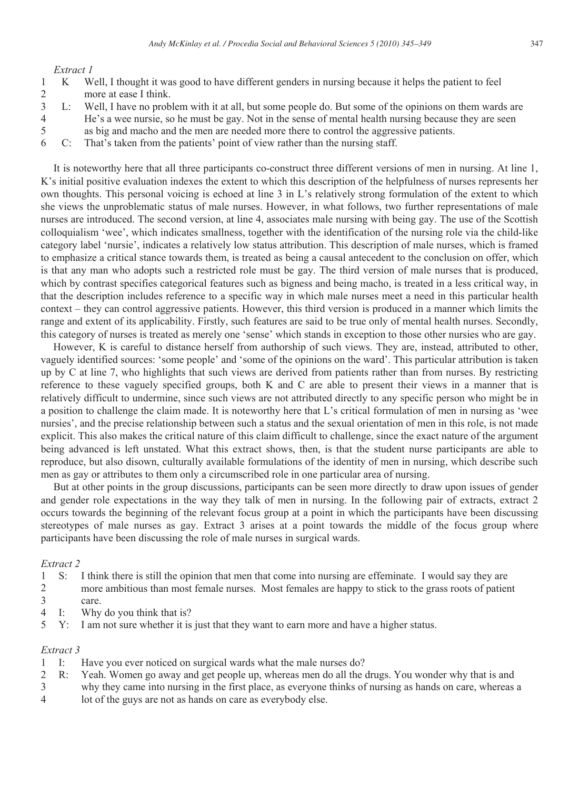# *Extract 1*

- 1 2 K Well, I thought it was good to have different genders in nursing because it helps the patient to feel more at ease I think.
- 3 L: Well, I have no problem with it at all, but some people do. But some of the opinions on them wards are
- 4 He's a wee nursie, so he must be gay. Not in the sense of mental health nursing because they are seen
- 5 as big and macho and the men are needed more there to control the aggressive patients.
- 6  $C:$ That's taken from the patients' point of view rather than the nursing staff.

It is noteworthy here that all three participants co-construct three different versions of men in nursing. At line 1, K's initial positive evaluation indexes the extent to which this description of the helpfulness of nurses represents her own thoughts. This personal voicing is echoed at line 3 in L's relatively strong formulation of the extent to which she views the unproblematic status of male nurses. However, in what follows, two further representations of male nurses are introduced. The second version, at line 4, associates male nursing with being gay. The use of the Scottish colloquialism 'wee', which indicates smallness, together with the identification of the nursing role via the child-like category label 'nursie', indicates a relatively low status attribution. This description of male nurses, which is framed to emphasize a critical stance towards them, is treated as being a causal antecedent to the conclusion on offer, which is that any man who adopts such a restricted role must be gay. The third version of male nurses that is produced, which by contrast specifies categorical features such as bigness and being macho, is treated in a less critical way, in that the description includes reference to a specific way in which male nurses meet a need in this particular health context – they can control aggressive patients. However, this third version is produced in a manner which limits the range and extent of its applicability. Firstly, such features are said to be true only of mental health nurses. Secondly, this category of nurses is treated as merely one 'sense' which stands in exception to those other nursies who are gay.

However, K is careful to distance herself from authorship of such views. They are, instead, attributed to other, vaguely identified sources: 'some people' and 'some of the opinions on the ward'. This particular attribution is taken up by C at line 7, who highlights that such views are derived from patients rather than from nurses. By restricting reference to these vaguely specified groups, both K and C are able to present their views in a manner that is relatively difficult to undermine, since such views are not attributed directly to any specific person who might be in a position to challenge the claim made. It is noteworthy here that L's critical formulation of men in nursing as 'wee nursies', and the precise relationship between such a status and the sexual orientation of men in this role, is not made explicit. This also makes the critical nature of this claim difficult to challenge, since the exact nature of the argument being advanced is left unstated. What this extract shows, then, is that the student nurse participants are able to reproduce, but also disown, culturally available formulations of the identity of men in nursing, which describe such men as gay or attributes to them only a circumscribed role in one particular area of nursing.

But at other points in the group discussions, participants can be seen more directly to draw upon issues of gender and gender role expectations in the way they talk of men in nursing. In the following pair of extracts, extract 2 occurs towards the beginning of the relevant focus group at a point in which the participants have been discussing stereotypes of male nurses as gay. Extract 3 arises at a point towards the middle of the focus group where participants have been discussing the role of male nurses in surgical wards.

#### *Extract 2*

- 1 S: I think there is still the opinion that men that come into nursing are effeminate. I would say they are
- 2 more ambitious than most female nurses. Most females are happy to stick to the grass roots of patient
- 3 care.
- 4 I: Why do you think that is?
- 5 Y: I am not sure whether it is just that they want to earn more and have a higher status.

# *Extract 3*

- 1 I: Have you ever noticed on surgical wards what the male nurses do?
- 2 R: Yeah. Women go away and get people up, whereas men do all the drugs. You wonder why that is and
- 3 why they came into nursing in the first place, as everyone thinks of nursing as hands on care, whereas a
- 4 lot of the guys are not as hands on care as everybody else.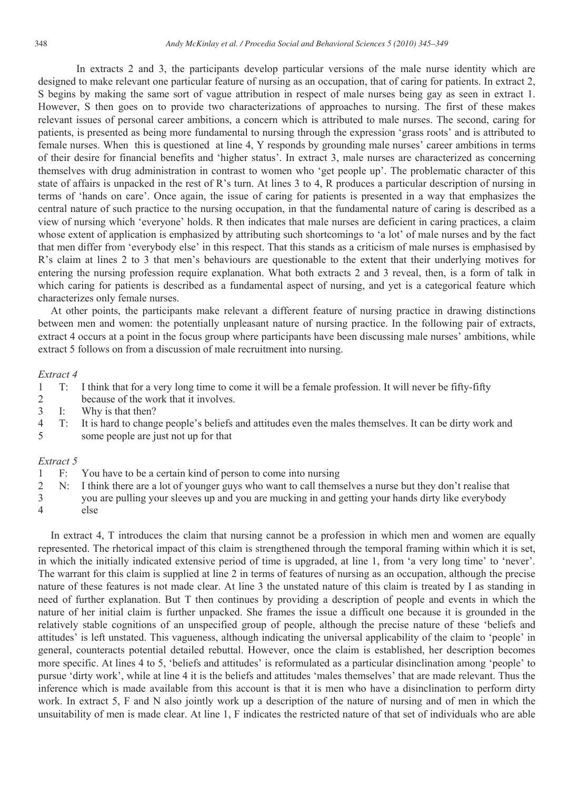In extracts 2 and 3, the participants develop particular versions of the male nurse identity which are designed to make relevant one particular feature of nursing as an occupation, that of caring for patients. In extract 2, S begins by making the same sort of vague attribution in respect of male nurses being gay as seen in extract 1. However, S then goes on to provide two characterizations of approaches to nursing. The first of these makes relevant issues of personal career ambitions, a concern which is attributed to male nurses. The second, caring for patients, is presented as being more fundamental to nursing through the expression 'grass roots' and is attributed to female nurses. When this is questioned at line 4, Y responds by grounding male nurses' career ambitions in terms of their desire for financial benefits and 'higher status'. In extract 3, male nurses are characterized as concerning themselves with drug administration in contrast to women who 'get people up'. The problematic character of this state of affairs is unpacked in the rest of R's turn. At lines 3 to 4, R produces a particular description of nursing in terms of 'hands on care'. Once again, the issue of caring for patients is presented in a way that emphasizes the central nature of such practice to the nursing occupation, in that the fundamental nature of caring is described as a view of nursing which 'everyone' holds. R then indicates that male nurses are deficient in caring practices, a claim whose extent of application is emphasized by attributing such shortcomings to 'a lot' of male nurses and by the fact that men differ from 'everybody else' in this respect. That this stands as a criticism of male nurses is emphasised by R's claim at lines 2 to 3 that men's behaviours are questionable to the extent that their underlying motives for entering the nursing profession require explanation. What both extracts 2 and 3 reveal, then, is a form of talk in which caring for patients is described as a fundamental aspect of nursing, and yet is a categorical feature which characterizes only female nurses.

At other points, the participants make relevant a different feature of nursing practice in drawing distinctions between men and women: the potentially unpleasant nature of nursing practice. In the following pair of extracts, extract 4 occurs at a point in the focus group where participants have been discussing male nurses' ambitions, while extract 5 follows on from a discussion of male recruitment into nursing.

#### *Extract 4*

- 1 T: I think that for a very long time to come it will be a female profession. It will never be fifty-fifty
- 2 because of the work that it involves.
- 3 I: Why is that then?
- 4  $T$ It is hard to change people's beliefs and attitudes even the males themselves. It can be dirty work and
- 5 some people are just not up for that

#### *Extract 5*

- 1 F: You have to be a certain kind of person to come into nursing
- 2 N: I think there are a lot of younger guys who want to call themselves a nurse but they don't realise that
- 3 you are pulling your sleeves up and you are mucking in and getting your hands dirty like everybody
- 4 else

In extract 4, T introduces the claim that nursing cannot be a profession in which men and women are equally represented. The rhetorical impact of this claim is strengthened through the temporal framing within which it is set, in which the initially indicated extensive period of time is upgraded, at line 1, from 'a very long time' to 'never'. The warrant for this claim is supplied at line 2 in terms of features of nursing as an occupation, although the precise nature of these features is not made clear. At line 3 the unstated nature of this claim is treated by I as standing in need of further explanation. But T then continues by providing a description of people and events in which the nature of her initial claim is further unpacked. She frames the issue a difficult one because it is grounded in the relatively stable cognitions of an unspecified group of people, although the precise nature of these 'beliefs and attitudes' is left unstated. This vagueness, although indicating the universal applicability of the claim to 'people' in general, counteracts potential detailed rebuttal. However, once the claim is established, her description becomes more specific. At lines 4 to 5, 'beliefs and attitudes' is reformulated as a particular disinclination among 'people' to pursue 'dirty work', while at line 4 it is the beliefs and attitudes 'males themselves' that are made relevant. Thus the inference which is made available from this account is that it is men who have a disinclination to perform dirty work. In extract 5, F and N also jointly work up a description of the nature of nursing and of men in which the unsuitability of men is made clear. At line 1, F indicates the restricted nature of that set of individuals who are able